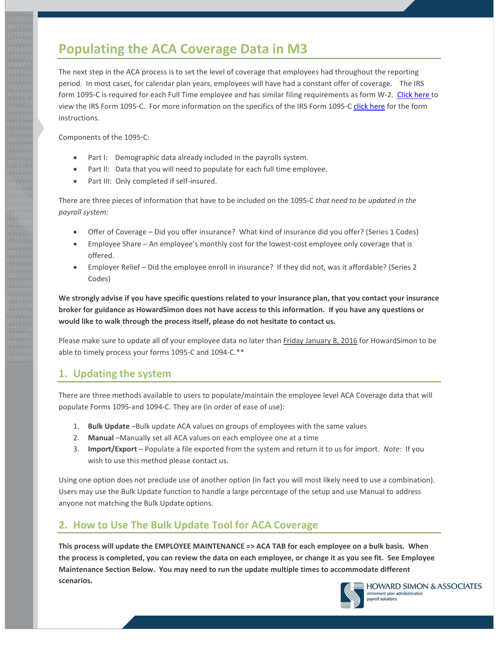# **Populating the ACA Coverage Data in M3**

The next step in the ACA process is to set the level of coverage that employees had throughout the reporting period. In most cases, for calendar plan years, employees will have had a constant offer of coverage. The IRS form 1095-C is required for each Full Time employee and has similar filing requirements as form W-2. [Click here to](https://www.irs.gov/pub/irs-prior/f1095c--2015.pdf)  [view the IRS Form 1095-C.](https://www.irs.gov/pub/irs-prior/f1095c--2015.pdf) For more information on the specifics of the IRS Form 1095-C [click here](https://www.irs.gov/pub/irs-prior/i109495c--2015.pdf) for the form instructions.

Components of the 1095-C:

- Part I: Demographic data already included in the payrolls system.
- Part II: Data that you will need to populate for each full time employee.
- Part III: Only completed if self-insured.

There are three pieces of information that have to be included on the 1095-C *that need to be updated in the payroll system:*

- Offer of Coverage Did you offer insurance? What kind of insurance did you offer? (Series 1 Codes)
- Employee Share An employee's monthly cost for the lowest-cost employee only coverage that is offered.
- Employer Relief Did the employee enroll in insurance? If they did not, was it affordable? (Series 2 Codes)

**We strongly advise if you have specific questions related to your insurance plan, that you contact your insurance broker for guidance as HowardSimon does not have access to this information. If you have any questions or would like to walk through the process itself, please do not hesitate to contact us.**

Please make sure to update all of your employee data no later than Friday January 8, 2016 for HowardSimon to be able to timely process your forms 1095-C and 1094-C.\*\*

#### **1. Updating the system**

There are three methods available to users to populate/maintain the employee level ACA Coverage data that will populate Forms 1095-and 1094-C. They are (in order of ease of use):

- 1. **Bulk Update** –Bulk update ACA values on groups of employees with the same values
- 2. **Manual** –Manually set all ACA values on each employee one at a time
- 3. **Import/Export** Populate a file exported from the system and return it to us for import. *Note*: If you wish to use this method please contact us.

Using one option does not preclude use of another option (in fact you will most likely need to use a combination). Users may use the Bulk Update function to handle a large percentage of the setup and use Manual to address anyone not matching the Bulk Update options.

## **2. How to Use The Bulk Update Tool for ACA Coverage**

**This process will update the EMPLOYEE MAINTENANCE => ACA TAB for each employee on a bulk basis. When the process is completed, you can review the data on each employee, or change it as you see fit. See Employee Maintenance Section Below. You may need to run the update multiple times to accommodate different scenarios.**

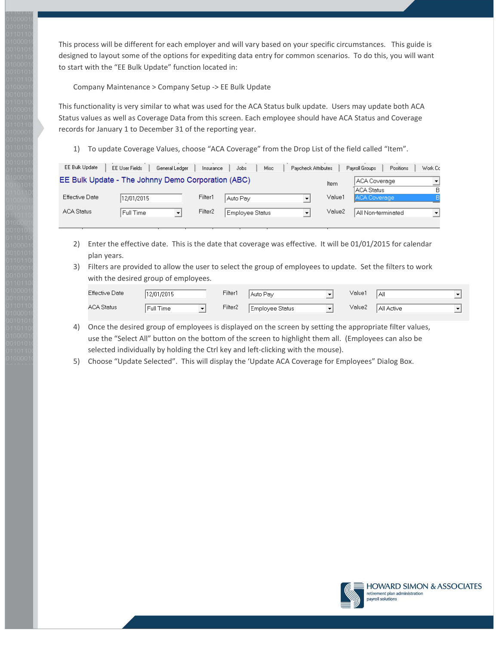This process will be different for each employer and will vary based on your specific circumstances. This guide is designed to layout some of the options for expediting data entry for common scenarios. To do this, you will want to start with the "EE Bulk Update" function located in:

Company Maintenance > Company Setup -> EE Bulk Update

This functionality is very similar to what was used for the ACA Status bulk update. Users may update both ACA Status values as well as Coverage Data from this screen. Each employee should have ACA Status and Coverage records for January 1 to December 31 of the reporting year.

1) To update Coverage Values, choose "ACA Coverage" from the Drop List of the field called "Item".

|                                                                                                                                      | Work Cc              |
|--------------------------------------------------------------------------------------------------------------------------------------|----------------------|
| EE Bulk Update - The Johnny Demo Corporation (ABC)<br>  ACA Coverage<br>Item                                                         |                      |
| ACA Status                                                                                                                           | B                    |
| Value1<br>Effective Date<br>Filter1<br>ACA Coverage,<br>12/01/2015<br>Auto Pay                                                       |                      |
| Filter <sub>2</sub><br>Value2<br><b>ACA Status</b><br>Employee Status<br>Full Time<br>All Non-terminated<br>$\overline{\phantom{a}}$ | $\blacktriangledown$ |

- 2) Enter the effective date. This is the date that coverage was effective. It will be 01/01/2015 for calendar plan years.
- 3) Filters are provided to allow the user to select the group of employees to update. Set the filters to work with the desired group of employees.

| Effective Date    | 12/01/2015 | Filter1             | Auto Pay        | Value1 | All        |  |
|-------------------|------------|---------------------|-----------------|--------|------------|--|
| <b>ACA Status</b> | Full Time  | Filter <sub>2</sub> | Employee Status | Value2 | All Active |  |

- 4) Once the desired group of employees is displayed on the screen by setting the appropriate filter values, use the "Select All" button on the bottom of the screen to highlight them all. (Employees can also be selected individually by holding the Ctrl key and left-clicking with the mouse).
- 5) Choose "Update Selected". This will display the 'Update ACA Coverage for Employees" Dialog Box.

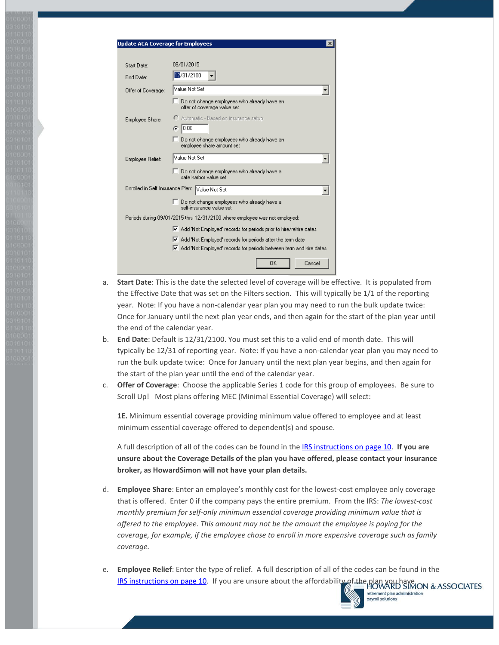| <b>Update ACA Coverage for Employees</b> | $\times$                                                                   |
|------------------------------------------|----------------------------------------------------------------------------|
|                                          |                                                                            |
| Start Date:                              | 09/01/2015                                                                 |
| End Date:                                | 12/31/2100                                                                 |
| Offer of Coverage:                       | Value Not Set                                                              |
|                                          | Do not change employees who already have an<br>offer of coverage value set |
| Employee Share:                          | C Automatic - Based on insurance setup                                     |
|                                          | 10.00<br>G                                                                 |
|                                          | Do not change employees who already have an<br>employee share amount set   |
| Employee Relief:                         | Value Not Set                                                              |
|                                          | Do not change employees who already have a<br>safe harbor value set        |
| Enrolled in Self Insurance Plan:         | Value Not Set                                                              |
|                                          | □ Do not change employees who already have a<br>self-insurance value set   |
|                                          | Periods during 09/01/2015 thru 12/31/2100 where employee was not employed: |
|                                          | Ⅳ Add 'Not Employed' records for periods prior to hire/rehire dates        |
|                                          | Ⅳ Add 'Not Employed' records for periods after the term date               |
|                                          | Ⅳ Add 'Not Employed' records for periods between term and hire dates       |
|                                          | Cancel<br>OK                                                               |

- a. **Start Date**: This is the date the selected level of coverage will be effective. It is populated from the Effective Date that was set on the Filters section. This will typically be 1/1 of the reporting year. Note: If you have a non-calendar year plan you may need to run the bulk update twice: Once for January until the next plan year ends, and then again for the start of the plan year until the end of the calendar year.
- b. **End Date**: Default is 12/31/2100. You must set this to a valid end of month date. This will typically be 12/31 of reporting year. Note: If you have a non-calendar year plan you may need to run the bulk update twice: Once for January until the next plan year begins, and then again for the start of the plan year until the end of the calendar year.
- c. **Offer of Coverage**: Choose the applicable Series 1 code for this group of employees. Be sure to Scroll Up! Most plans offering MEC (Minimal Essential Coverage) will select:

**1E.** Minimum essential coverage providing minimum value offered to employee and at least minimum essential coverage offered to dependent(s) and spouse.

A full description of all of the codes can be found in th[e IRS instructions on page 10.](https://www.irs.gov/pub/irs-prior/i109495c--2015.pdf) **If you are unsure about the Coverage Details of the plan you have offered, please contact your insurance broker, as HowardSimon will not have your plan details.**

- d. **Employee Share**: Enter an employee's monthly cost for the lowest-cost employee only coverage that is offered. Enter 0 if the company pays the entire premium. From the IRS: *The lowest-cost monthly premium for self-only minimum essential coverage providing minimum value that is offered to the employee. This amount may not be the amount the employee is paying for the coverage, for example, if the employee chose to enroll in more expensive coverage such as family coverage.*
- e. **Employee Relief**: Enter the type of relief. A full description of all of the codes can be found in the [IRS instructions on page 10.](https://www.irs.gov/pub/irs-prior/i109495c--2015.pdf) If you are unsure about the affordability of the plan you have NOWARD SIMON & ASSOCIATES



retirement plan administration payroll solutions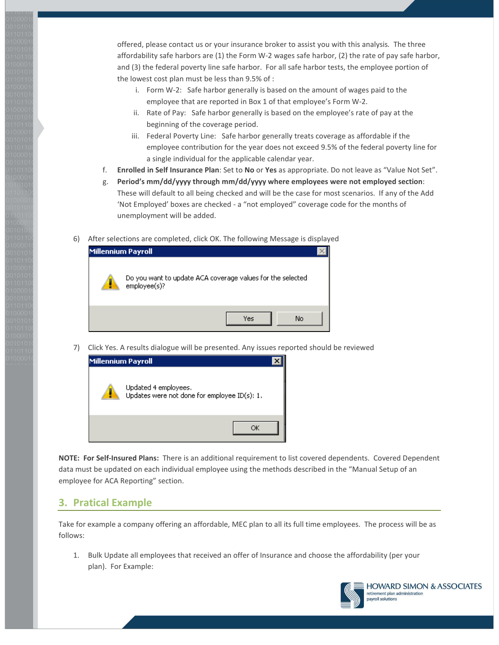offered, please contact us or your insurance broker to assist you with this analysis*.* The three affordability safe harbors are (1) the Form W-2 wages safe harbor, (2) the rate of pay safe harbor, and (3) the federal poverty line safe harbor. For all safe harbor tests, the employee portion of the lowest cost plan must be less than 9.5% of :

- i. Form W-2: Safe harbor generally is based on the amount of wages paid to the employee that are reported in Box 1 of that employee's Form W-2.
- ii. Rate of Pay: Safe harbor generally is based on the employee's rate of pay at the beginning of the coverage period.
- iii. Federal Poverty Line: Safe harbor generally treats coverage as affordable if the employee contribution for the year does not exceed 9.5% of the federal poverty line for a single individual for the applicable calendar year.
- f. **Enrolled in Self Insurance Plan**: Set to **No** or **Yes** as appropriate. Do not leave as "Value Not Set".
- g. **Period's mm/dd/yyyy through mm/dd/yyyy where employees were not employed section**: These will default to all being checked and will be the case for most scenarios. If any of the Add 'Not Employed' boxes are checked - a "not employed" coverage code for the months of unemployment will be added.
- 6) After selections are completed, click OK. The following Message is displayed

| <b>Millennium Payroll</b> |                                                                            |  |
|---------------------------|----------------------------------------------------------------------------|--|
|                           | Do you want to update ACA coverage values for the selected<br>employee(s)? |  |
|                           | No<br>Yes                                                                  |  |

7) Click Yes. A results dialogue will be presented. Any issues reported should be reviewed



**NOTE: For Self-Insured Plans:** There is an additional requirement to list covered dependents. Covered Dependent data must be updated on each individual employee using the methods described in the "Manual Setup of an employee for ACA Reporting" section.

#### **3. Pratical Example**

Take for example a company offering an affordable, MEC plan to all its full time employees. The process will be as follows:

1. Bulk Update all employees that received an offer of Insurance and choose the affordability (per your plan). For Example:

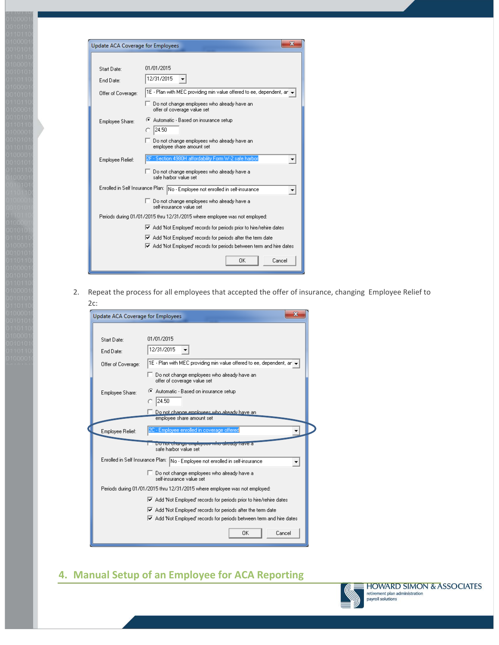| Update ACA Coverage for Employees |                                                                                                                                      |
|-----------------------------------|--------------------------------------------------------------------------------------------------------------------------------------|
|                                   |                                                                                                                                      |
| Start Date:                       | 01/01/2015                                                                                                                           |
| End Date:                         | 12/31/2015                                                                                                                           |
| Offer of Coverage:                | 1E - Plan with MEC providing min value offered to ee, dependent, an -                                                                |
|                                   | Do not change employees who already have an<br>offer of coverage value set                                                           |
| Employee Share:                   | Automatic - Based on insurance setup<br>24.50                                                                                        |
|                                   | Do not change employees who already have an<br>employee share amount set                                                             |
| Employee Relief:                  | - Section 4980H affordability Form W-2 safe harbor                                                                                   |
|                                   | Do not change employees who already have a<br>safe harbor value set                                                                  |
|                                   | Enrolled in Self Insurance Plan: No - Employee not enrolled in self-insurance                                                        |
|                                   | Do not change employees who already have a<br>self-insurance value set                                                               |
|                                   | Periods during 01/01/2015 thru 12/31/2015 where employee was not employed:                                                           |
|                                   | ■ Add 'Not Employed' records for periods prior to hire/rehire dates                                                                  |
|                                   | ☑ Add 'Not Employed' records for periods after the term date<br>■ Add 'Not Employed' records for periods between term and hire dates |
|                                   | 0K<br>Cancel                                                                                                                         |

2. Repeat the process for all employees that accepted the offer of insurance, changing Employee Relief to 2c:

| Update ACA Coverage for Employees | X                                                                                                                                                        |
|-----------------------------------|----------------------------------------------------------------------------------------------------------------------------------------------------------|
|                                   |                                                                                                                                                          |
| Start Date:                       | 01/01/2015                                                                                                                                               |
| End Date:                         | 12/31/2015                                                                                                                                               |
| Offer of Coverage:                | 1E - Plan with MEC providing min value offered to ee, dependent, ar $\,$                                                                                 |
|                                   | Do not change employees who already have an<br>offer of coverage value set                                                                               |
| Employee Share:                   | Automatic - Based on insurance setup<br>24.50                                                                                                            |
|                                   | Do not change employees who already have an<br>employee share amount set                                                                                 |
| Employee Relief:                  | 2C - Employee enrolled in coverage offered                                                                                                               |
|                                   | Do not change employees who already nave a<br>safe harbor value set                                                                                      |
|                                   | Enrolled in Self Insurance Plan: No - Employee not enrolled in self-insurance                                                                            |
|                                   | □ Do not change employees who already have a<br>self-insurance value set                                                                                 |
|                                   | Periods during 01/01/2015 thru 12/31/2015 where employee was not employed:                                                                               |
|                                   | ☑ Add 'Not Employed' records for periods prior to hire/rehire dates                                                                                      |
|                                   | $\blacktriangleright$ Add 'Not Employed' records for periods after the term date<br>■ Add 'Not Employed' records for periods between term and hire dates |
|                                   | Cancel<br>ΠK                                                                                                                                             |

## **4. Manual Setup of an Employee for ACA Reporting**

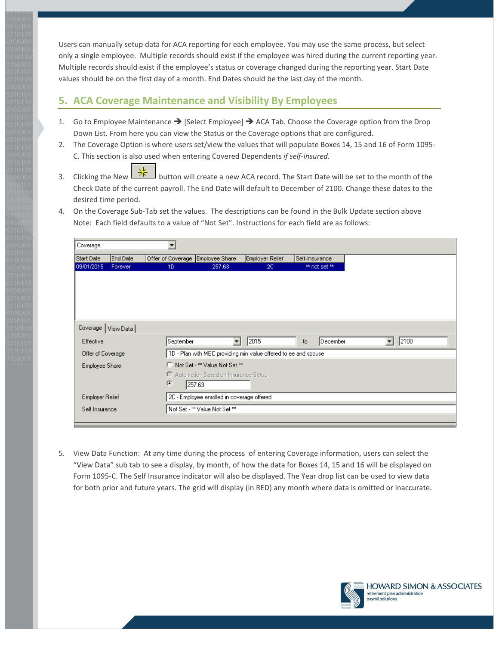Users can manually setup data for ACA reporting for each employee. You may use the same process, but select only a single employee. Multiple records should exist if the employee was hired during the current reporting year. Multiple records should exist if the employee's status or coverage changed during the reporting year. Start Date values should be on the first day of a month. End Dates should be the last day of the month.

#### **5. ACA Coverage Maintenance and Visibility By Employees**

- 1. Go to Employee Maintenance  $\rightarrow$  [Select Employee]  $\rightarrow$  ACA Tab. Choose the Coverage option from the Drop Down List. From here you can view the Status or the Coverage options that are configured.
- 2. The Coverage Option is where users set/view the values that will populate Boxes 14, 15 and 16 of Form 1095- C. This section is also used when entering Covered Dependents *if self-insured.*
- 3. Clicking the New  $\sqrt{25}$  button will create a new ACA record. The Start Date will be set to the month of the Check Date of the current payroll. The End Date will default to December of 2100. Change these dates to the desired time period.
- 4. On the Coverage Sub-Tab set the values. The descriptions can be found in the Bulk Update section above Note: Each field defaults to a value of "Not Set". Instructions for each field are as follows:

| Coverage               |           |                                  |                                                                  |                 |                |           |  |
|------------------------|-----------|----------------------------------|------------------------------------------------------------------|-----------------|----------------|-----------|--|
| Start Date             | End Date  | Offer of Coverage Employee Share |                                                                  | Employer Relief | Self-Insurance |           |  |
| 09/01/2015             | Forever   | 1D                               | 257.63                                                           | 2C              | ** not set **  |           |  |
|                        |           |                                  |                                                                  |                 |                |           |  |
|                        |           |                                  |                                                                  |                 |                |           |  |
|                        |           |                                  |                                                                  |                 |                |           |  |
|                        |           |                                  |                                                                  |                 |                |           |  |
|                        |           |                                  |                                                                  |                 |                |           |  |
| Coverage               | View Data |                                  |                                                                  |                 |                |           |  |
| <b>Effective</b>       |           | September                        | $\overline{\mathbf{r}}$                                          | 2015            | December<br>to | 2100<br>▾ |  |
| Offer of Coverage      |           |                                  | 1D - Plan with MEC providing min value offered to ee and spouse. |                 |                |           |  |
| Employee Share         |           |                                  | C Not Set - ** Value Not Set **                                  |                 |                |           |  |
|                        |           |                                  | C Automatic - Based on Insurance Setup                           |                 |                |           |  |
|                        |           | G                                | 257.63                                                           |                 |                |           |  |
| <b>Employer Relief</b> |           |                                  | 2C - Employee enrolled in coverage offered                       |                 |                |           |  |
| Self Insurance         |           |                                  | Not Set - ** Value Not Set **                                    |                 |                |           |  |
|                        |           |                                  |                                                                  |                 |                |           |  |

5. View Data Function: At any time during the process of entering Coverage information, users can select the "View Data" sub tab to see a display, by month, of how the data for Boxes 14, 15 and 16 will be displayed on Form 1095-C. The Self Insurance indicator will also be displayed. The Year drop list can be used to view data for both prior and future years. The grid will display (in RED) any month where data is omitted or inaccurate.

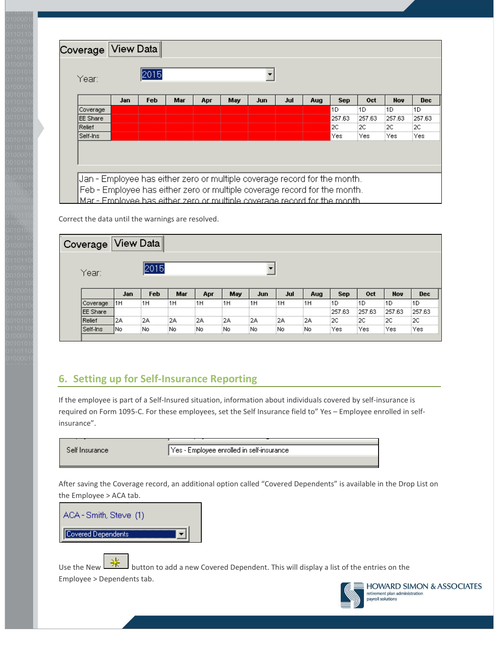| Year:    |     | 2015 |     |     |     |     |     |     |            |        |            |            |
|----------|-----|------|-----|-----|-----|-----|-----|-----|------------|--------|------------|------------|
|          | Jan | Feb  | Mar | Apr | May | Jun | Jul | Aug | <b>Sep</b> | Oct    | <b>Nov</b> | <b>Dec</b> |
| Coverage |     |      |     |     |     |     |     |     | 1D         | 1D     | 1D         | 1D         |
| EE Share |     |      |     |     |     |     |     |     | 257.63     | 257.63 | 257.63     | 257.63     |
| Relief   |     |      |     |     |     |     |     |     | 2C         | 2С     | 2C         | 2С         |
| Self-Ins |     |      |     |     |     |     |     |     | Yes        | Yes    | Yes        | Yes        |

Correct the data until the warnings are resolved.

| Coverage <sup>1</sup> |     |     |     |     |     |     |     |     |            |        |                              |                  |
|-----------------------|-----|-----|-----|-----|-----|-----|-----|-----|------------|--------|------------------------------|------------------|
| Year:                 |     |     |     |     |     |     |     |     |            |        |                              |                  |
|                       |     |     |     |     |     |     |     |     |            |        |                              |                  |
|                       | Jan | Feb | Mar | Apr | May | Jun | Jul | Aug | <b>Sep</b> | Oct    | Nov                          | Dec              |
| Coverage              | 1H  | ١Н  | 1H  | 1H  | :1H | 1H  | 1H  | :1H | :1D        | 1D     | 1D                           | 1 D              |
| <b>EE</b> Share       |     |     |     |     |     |     |     |     | 257.63     | 257.63 | 257.63                       |                  |
| Relief                | 2Α  | 2A  | 2Α  | 2Α  | 2Α  | 2Α  | 2Α  | 2Α  | :2C        | '2C    | ----------------------<br>2С | <br>257.63<br>20 |

## **6. Setting up for Self-Insurance Reporting**

If the employee is part of a Self-Insured situation, information about individuals covered by self-insurance is required on Form 1095-C. For these employees, set the Self Insurance field to" Yes – Employee enrolled in selfinsurance".

Yes - Employee enrolled in self-insurance Self Insurance

After saving the Coverage record, an additional option called "Covered Dependents" is available in the Drop List on the Employee > ACA tab.



Use the New  $\frac{1}{x}$  button to add a new Covered Dependent. This will display a list of the entries on the Employee > Dependents tab.